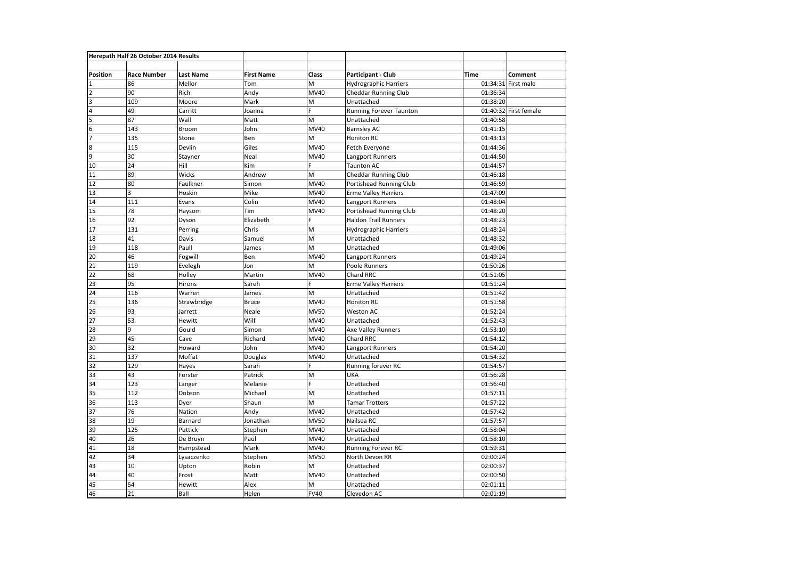| Herepath Half 26 October 2014 Results |                    |                  |                   |             |                              |          |                     |
|---------------------------------------|--------------------|------------------|-------------------|-------------|------------------------------|----------|---------------------|
|                                       |                    |                  |                   |             |                              |          |                     |
| Position                              | <b>Race Number</b> | <b>Last Name</b> | <b>First Name</b> | Class       | Participant - Club           | Time     | Comment             |
| 1                                     | 86                 | Mellor           | Tom               | M           | <b>Hydrographic Harriers</b> |          | 01:34:31 First male |
| $\overline{2}$                        | 90                 | Rich             | Andy              | <b>MV40</b> | <b>Cheddar Running Club</b>  | 01:36:34 |                     |
| 3                                     | 109                | Moore            | Mark              | M           | Unattached                   | 01:38:20 |                     |
| $\overline{a}$                        | 49                 | Carritt          | Joanna            | F.          | Running Forever Taunton      | 01:40:32 | First female        |
| $\overline{5}$                        | 87                 | Wall             | Matt              | M           | Unattached                   | 01:40:58 |                     |
| $\overline{6}$                        | 143                | Broom            | John              | <b>MV40</b> | <b>Barnsley AC</b>           | 01:41:15 |                     |
| $\overline{7}$                        | 135                | Stone            | Ben               | M           | Honiton RC                   | 01:43:13 |                     |
| 8                                     | 115                | Devlin           | Giles             | MV40        | Fetch Everyone               | 01:44:36 |                     |
| 9                                     | 30                 | Stayner          | Neal              | MV40        | Langport Runners             | 01:44:50 |                     |
| 10                                    | 24                 | Hill             | Kim               | F.          | <b>Taunton AC</b>            | 01:44:57 |                     |
| 11                                    | 89                 | Wicks            | Andrew            | M           | <b>Cheddar Running Club</b>  | 01:46:18 |                     |
| 12                                    | 80                 | Faulkner         | Simon             | MV40        | Portishead Running Club      | 01:46:59 |                     |
| 13                                    | 3                  | Hoskin           | Mike              | MV40        | <b>Erme Valley Harriers</b>  | 01:47:09 |                     |
| 14                                    | 111                | Evans            | Colin             | MV40        | Langport Runners             | 01:48:04 |                     |
| 15                                    | 78                 | Haysom           | Tim               | MV40        | Portishead Running Club      | 01:48:20 |                     |
| 16                                    | 92                 | Dyson            | Elizabeth         | Ė           | <b>Haldon Trail Runners</b>  | 01:48:23 |                     |
| 17                                    | 131                | Perring          | Chris             | M           | Hydrographic Harriers        | 01:48:24 |                     |
| 18                                    | 41                 | Davis            | Samuel            | M           | Unattached                   | 01:48:32 |                     |
| 19                                    | 118                | Paull            | James             | M           | Unattached                   | 01:49:06 |                     |
| 20                                    | 46                 | Fogwill          | Ben               | MV40        | Langport Runners             | 01:49:24 |                     |
| 21                                    | 119                | Evelegh          | Jon               | M           | Poole Runners                | 01:50:26 |                     |
| 22                                    | 68                 | Holley           | Martin            | MV40        | Chard RRC                    | 01:51:05 |                     |
| 23                                    | 95                 | Hirons           | Sareh             | F.          | <b>Erme Valley Harriers</b>  | 01:51:24 |                     |
| 24                                    | 116                | Warren           | James             | M           | Unattached                   | 01:51:42 |                     |
| 25                                    | 136                | Strawbridge      | <b>Bruce</b>      | MV40        | <b>Honiton RC</b>            | 01:51:58 |                     |
| 26                                    | 93                 | Jarrett          | Neale             | <b>MV50</b> | Weston AC                    | 01:52:24 |                     |
| 27                                    | 53                 | Hewitt           | Wilf              | MV40        | Unattached                   | 01:52:43 |                     |
| 28                                    | 9                  | Gould            | Simon             | <b>MV40</b> | Axe Valley Runners           | 01:53:10 |                     |
| 29                                    | 45                 | Cave             | Richard           | MV40        | Chard RRC                    | 01:54:12 |                     |
| 30                                    | 32                 | Howard           | John              | MV40        | Langport Runners             | 01:54:20 |                     |
| 31                                    | 137                | Moffat           | Douglas           | MV40        | Unattached                   | 01:54:32 |                     |
| 32                                    | 129                | Hayes            | Sarah             | Ė           | Running forever RC           | 01:54:57 |                     |
| 33                                    | 43                 | Forster          | Patrick           | M           | UKA                          | 01:56:28 |                     |
| 34                                    | 123                | Langer           | Melanie           | Ë           | Unattached                   | 01:56:40 |                     |
| 35                                    | 112                | Dobson           | Michael           | M           | Unattached                   | 01:57:11 |                     |
| 36                                    | 113                | Dyer             | Shaun             | M           | <b>Tamar Trotters</b>        | 01:57:22 |                     |
| 37                                    | 76                 | Nation           | Andy              | MV40        | Unattached                   | 01:57:42 |                     |
| 38                                    | 19                 | Barnard          | Jonathan          | <b>MV50</b> | Nailsea RC                   | 01:57:57 |                     |
| 39                                    | 125                | Puttick          | Stephen           | MV40        | Unattached                   | 01:58:04 |                     |
| 40                                    | 26                 | De Bruyn         | Paul              | MV40        | Unattached                   | 01:58:10 |                     |
| 41                                    | 18                 | Hampstead        | Mark              | MV40        | Running Forever RC           | 01:59:31 |                     |
| 42                                    | 34                 | Lysaczenko       | Stephen           | <b>MV50</b> | North Devon RR               | 02:00:24 |                     |
| 43                                    | 10                 | Upton            | Robin             | M           | Unattached                   | 02:00:37 |                     |
| 44                                    | 40                 | Frost            | Matt              | MV40        | Unattached                   | 02:00:50 |                     |
| 45                                    | 54                 | <b>Hewitt</b>    | Alex              | M           | Unattached                   | 02:01:11 |                     |
| 46                                    | 21                 | Ball             | Helen             | <b>FV40</b> | Clevedon AC                  | 02:01:19 |                     |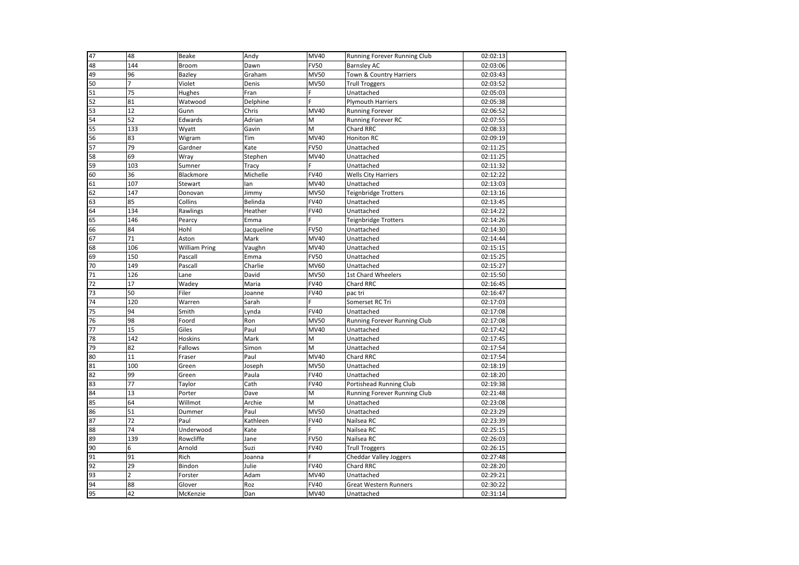| 47 | 48             | Beake         | Andy       | MV40        | Running Forever Running Club | 02:02:13 |  |
|----|----------------|---------------|------------|-------------|------------------------------|----------|--|
| 48 | 144            | <b>Broom</b>  | Dawn       | <b>FV50</b> | <b>Barnsley AC</b>           | 02:03:06 |  |
| 49 | 96             | Bazley        | Graham     | <b>MV50</b> | Town & Country Harriers      | 02:03:43 |  |
| 50 | $\overline{7}$ | Violet        | Denis      | <b>MV50</b> | <b>Trull Troggers</b>        | 02:03:52 |  |
| 51 | 75             | Hughes        | Fran       | F.          | Unattached                   | 02:05:03 |  |
| 52 | 81             | Watwood       | Delphine   | Ė           | <b>Plymouth Harriers</b>     | 02:05:38 |  |
| 53 | 12             | Gunn          | Chris      | MV40        | <b>Running Forever</b>       | 02:06:52 |  |
| 54 | 52             | Edwards       | Adrian     | M           | Running Forever RC           | 02:07:55 |  |
| 55 | 133            | Wyatt         | Gavin      | M           | Chard RRC                    | 02:08:33 |  |
| 56 | 83             | Wigram        | Tim        | MV40        | Honiton RC                   | 02:09:19 |  |
| 57 | 79             | Gardner       | Kate       | <b>FV50</b> | Unattached                   | 02:11:25 |  |
| 58 | 69             | Wray          | Stephen    | MV40        | Unattached                   | 02:11:25 |  |
| 59 | 103            | Sumner        | Tracy      | Ė.          | Unattached                   | 02:11:32 |  |
| 60 | 36             | Blackmore     | Michelle   | <b>FV40</b> | <b>Wells City Harriers</b>   | 02:12:22 |  |
| 61 | 107            | Stewart       | lan        | MV40        | Unattached                   | 02:13:03 |  |
| 62 | 147            | Donovan       | Jimmy      | <b>MV50</b> | Teignbridge Trotters         | 02:13:16 |  |
| 63 | 85             | Collins       | Belinda    | <b>FV40</b> | Unattached                   | 02:13:45 |  |
| 64 | 134            | Rawlings      | Heather    | <b>FV40</b> | Unattached                   | 02:14:22 |  |
| 65 | 146            | Pearcy        | Emma       | Ė           | Teignbridge Trotters         | 02:14:26 |  |
| 66 | 84             | Hohl          | Jacqueline | <b>FV50</b> | Unattached                   | 02:14:30 |  |
| 67 | 71             | Aston         | Mark       | MV40        | Unattached                   | 02:14:44 |  |
| 68 | 106            | William Pring | Vaughn     | MV40        | Unattached                   | 02:15:15 |  |
| 69 | 150            | Pascall       | Emma       | <b>FV50</b> | Unattached                   | 02:15:25 |  |
| 70 | 149            | Pascall       | Charlie    | MV60        | Unattached                   | 02:15:27 |  |
| 71 | 126            | Lane          | David      | <b>MV50</b> | 1st Chard Wheelers           | 02:15:50 |  |
| 72 | 17             | Wadey         | Maria      | <b>FV40</b> | Chard RRC                    | 02:16:45 |  |
| 73 | 50             | Filer         | Joanne     | <b>FV40</b> | pac tri                      | 02:16:47 |  |
| 74 | 120            | Warren        | Sarah      | Ė.          | Somerset RC Tri              | 02:17:03 |  |
| 75 | 94             | Smith         | Lynda      | <b>FV40</b> | Unattached                   | 02:17:08 |  |
| 76 | 98             | Foord         | Ron        | <b>MV50</b> | Running Forever Running Club | 02:17:08 |  |
| 77 | 15             | Giles         | Paul       | MV40        | Unattached                   | 02:17:42 |  |
| 78 | 142            | Hoskins       | Mark       | M           | Unattached                   | 02:17:45 |  |
| 79 | 82             | Fallows       | Simon      | M           | Unattached                   | 02:17:54 |  |
| 80 | 11             | Fraser        | Paul       | MV40        | Chard RRC                    | 02:17:54 |  |
| 81 | 100            | Green         | Joseph     | <b>MV50</b> | Unattached                   | 02:18:19 |  |
| 82 | 99             | Green         | Paula      | <b>FV40</b> | Unattached                   | 02:18:20 |  |
| 83 | 77             | Taylor        | Cath       | <b>FV40</b> | Portishead Running Club      | 02:19:38 |  |
| 84 | 13             | Porter        | Dave       | M           | Running Forever Running Club | 02:21:48 |  |
| 85 | 64             | Willmot       | Archie     | M           | Unattached                   | 02:23:08 |  |
| 86 | 51             | Dummer        | Paul       | <b>MV50</b> | Unattached                   | 02:23:29 |  |
| 87 | 72             | Paul          | Kathleen   | <b>FV40</b> | Nailsea RC                   | 02:23:39 |  |
| 88 | 74             | Underwood     | Kate       | Ė.          | Nailsea RC                   | 02:25:15 |  |
| 89 | 139            | Rowcliffe     | Jane       | <b>FV50</b> | Nailsea RC                   | 02:26:03 |  |
| 90 | 6              | Arnold        | Suzi       | <b>FV40</b> | <b>Trull Troggers</b>        | 02:26:15 |  |
| 91 | 91             | Rich          | Joanna     | Ė           | Cheddar Valley Joggers       | 02:27:48 |  |
| 92 | 29             | Bindon        | Julie      | <b>FV40</b> | Chard RRC                    | 02:28:20 |  |
| 93 | $\overline{a}$ | Forster       | Adam       | MV40        | Unattached                   | 02:29:21 |  |
| 94 | 88             | Glover        | Roz        | <b>FV40</b> | Great Western Runners        | 02:30:22 |  |
| 95 | 42             | McKenzie      | Dan        | MV40        | Unattached                   | 02:31:14 |  |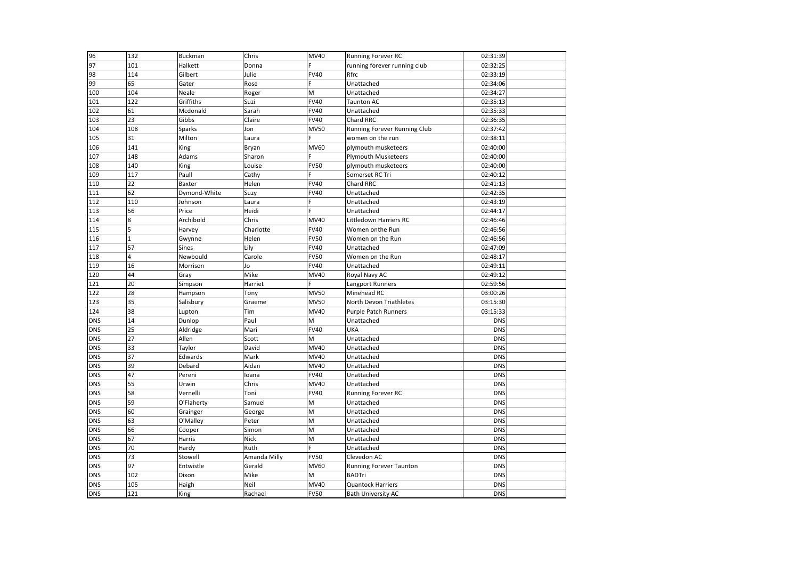| 96         | 132          | <b>Buckman</b> | Chris        | MV40        | Running Forever RC           | 02:31:39   |  |
|------------|--------------|----------------|--------------|-------------|------------------------------|------------|--|
| 97         | 101          | Halkett        | Donna        | Ë           | running forever running club | 02:32:25   |  |
| 98         | 114          | Gilbert        | Julie        | <b>FV40</b> | Rfrc                         | 02:33:19   |  |
| 99         | 65           | Gater          | Rose         | F           | Unattached                   | 02:34:06   |  |
| 100        | 104          | Neale          | Roger        | M           | Unattached                   | 02:34:27   |  |
| 101        | 122          | Griffiths      | Suzi         | <b>FV40</b> | <b>Taunton AC</b>            | 02:35:13   |  |
| 102        | 61           | Mcdonald       | Sarah        | <b>FV40</b> | Unattached                   | 02:35:33   |  |
| 103        | 23           | Gibbs          | Claire       | <b>FV40</b> | Chard RRC                    | 02:36:35   |  |
| 104        | 108          | <b>Sparks</b>  | Jon          | <b>MV50</b> | Running Forever Running Club | 02:37:42   |  |
| 105        | 31           | Milton         | Laura        | Ë           | women on the run             | 02:38:11   |  |
| 106        | 141          | King           | Bryan        | MV60        | plymouth musketeers          | 02:40:00   |  |
| 107        | 148          | Adams          | Sharon       | Ë           | <b>Plymouth Musketeers</b>   | 02:40:00   |  |
| 108        | 140          | King           | Louise       | <b>FV50</b> | plymouth musketeers          | 02:40:00   |  |
| 109        | 117          | Paull          | Cathy        | Ë           | Somerset RC Tri              | 02:40:12   |  |
| 110        | 22           | Baxter         | Helen        | <b>FV40</b> | Chard RRC                    | 02:41:13   |  |
| 111        | 62           | Dymond-White   | Suzy         | <b>FV40</b> | Unattached                   | 02:42:35   |  |
| 112        | 110          | Johnson        | Laura        | F           | Unattached                   | 02:43:19   |  |
| 113        | 56           | Price          | Heidi        | F.          | Unattached                   | 02:44:17   |  |
| 114        | 8            | Archibold      | Chris        | <b>MV40</b> | Littledown Harriers RC       | 02:46:46   |  |
| 115        | 5            | Harvey         | Charlotte    | <b>FV40</b> | Women onthe Run              | 02:46:56   |  |
| 116        | $\mathbf{1}$ | Gwynne         | Helen        | <b>FV50</b> | Women on the Run             | 02:46:56   |  |
| 117        | 57           | <b>Sines</b>   | Lily         | <b>FV40</b> | Unattached                   | 02:47:09   |  |
| 118        | 4            | Newbould       | Carole       | <b>FV50</b> | Women on the Run             | 02:48:17   |  |
| 119        | 16           | Morrison       | Jo           | <b>FV40</b> | Unattached                   | 02:49:11   |  |
| 120        | 44           | Gray           | Mike         | MV40        | Royal Navy AC                | 02:49:12   |  |
| 121        | 20           | Simpson        | Harriet      | F           | Langport Runners             | 02:59:56   |  |
| 122        | 28           | Hampson        | Tony         | MV50        | Minehead RC                  | 03:00:26   |  |
| 123        | 35           | Salisbury      | Graeme       | <b>MV50</b> | North Devon Triathletes      | 03:15:30   |  |
| 124        | 38           | Lupton         | Tim          | MV40        | <b>Purple Patch Runners</b>  | 03:15:33   |  |
| <b>DNS</b> | 14           | Dunlop         | Paul         | M           | Unattached                   | <b>DNS</b> |  |
| <b>DNS</b> | 25           | Aldridge       | Mari         | <b>FV40</b> | UKA                          | <b>DNS</b> |  |
| <b>DNS</b> | 27           | Allen          | Scott        | M           | Unattached                   | <b>DNS</b> |  |
| <b>DNS</b> | 33           | Taylor         | David        | <b>MV40</b> | Unattached                   | <b>DNS</b> |  |
| <b>DNS</b> | 37           | Edwards        | Mark         | MV40        | Unattached                   | <b>DNS</b> |  |
| <b>DNS</b> | 39           | Debard         | Aidan        | MV40        | Unattached                   | <b>DNS</b> |  |
| <b>DNS</b> | 47           | Pereni         | loana        | <b>FV40</b> | Unattached                   | <b>DNS</b> |  |
| <b>DNS</b> | 55           | Urwin          | Chris        | MV40        | Unattached                   | <b>DNS</b> |  |
| <b>DNS</b> | 58           | Vernelli       | Toni         | <b>FV40</b> | Running Forever RC           | <b>DNS</b> |  |
| <b>DNS</b> | 59           | O'Flaherty     | Samuel       | M           | Unattached                   | <b>DNS</b> |  |
| <b>DNS</b> | 60           | Grainger       | George       | M           | Unattached                   | <b>DNS</b> |  |
| <b>DNS</b> | 63           | O'Malley       | Peter        | M           | Unattached                   | <b>DNS</b> |  |
| <b>DNS</b> | 66           | Cooper         | Simon        | M           | Unattached                   | <b>DNS</b> |  |
| <b>DNS</b> | 67           | Harris         | Nick         | M           | Unattached                   | <b>DNS</b> |  |
| <b>DNS</b> | 70           | Hardy          | Ruth         | F.          | Unattached                   | <b>DNS</b> |  |
| <b>DNS</b> | 73           | Stowell        | Amanda Milly | <b>FV50</b> | Clevedon AC                  | <b>DNS</b> |  |
| <b>DNS</b> | 97           | Entwistle      | Gerald       | <b>MV60</b> | Running Forever Taunton      | <b>DNS</b> |  |
| <b>DNS</b> | 102          | Dixon          | Mike         | M           | <b>BADTri</b>                | <b>DNS</b> |  |
| <b>DNS</b> | 105          | Haigh          | Neil         | MV40        | <b>Quantock Harriers</b>     | <b>DNS</b> |  |
| <b>DNS</b> | 121          | King           | Rachael      | <b>FV50</b> | <b>Bath University AC</b>    | <b>DNS</b> |  |